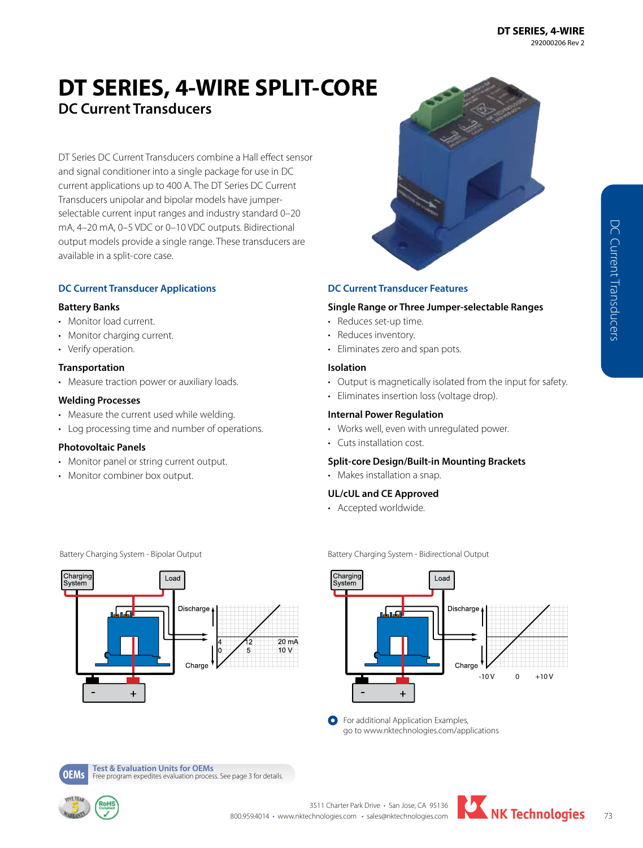# **DT SERIES, 4-WIRE SPLIT-CORE DC Current Transducers**

DT Series DC Current Transducers combine a Hall effect sensor and signal conditioner into a single package for use in DC current applications up to 400 A. The DT Series DC Current Transducers unipolar and bipolar models have jumperselectable current input ranges and industry standard 0–20 mA, 4–20 mA, 0–5 VDC or 0–10 VDC outputs. Bidirectional output models provide a single range. These transducers are available in a split-core case.

## **DC Current Transducer Applications**

#### **Battery Banks**

- Monitor load current.
- Monitor charging current.
- Verify operation.

#### **Transportation**

• Measure traction power or auxiliary loads.

#### **Welding Processes**

- Measure the current used while welding.
- Log processing time and number of operations.

## **Photovoltaic Panels**

- Monitor panel or string current output.
- Monitor combiner box output.



#### **DC Current Transducer Features**

#### **Single Range or Three Jumper-selectable Ranges**

- Reduces set-up time.
- Reduces inventory.
- Eliminates zero and span pots.

#### **Isolation**

- Output is magnetically isolated from the input for safety.
- Eliminates insertion loss (voltage drop).

#### **Internal Power Regulation**

- Works well, even with unregulated power.
- Cuts installation cost.

#### **Split-core Design/Built-in Mounting Brackets**

• Makes installation a snap.

## **UL/cUL and CE Approved**

• Accepted worldwide.

Battery Charging System - Bidirectional Output



**O** For additional Application Examples, go to www.nktechnologies.com/applications

Battery Charging System - Bipolar Output



**OEMs Test & Evaluation Units for OEMs**<br>**OEMS** Free program expedites evaluation process. See page 3 for details.



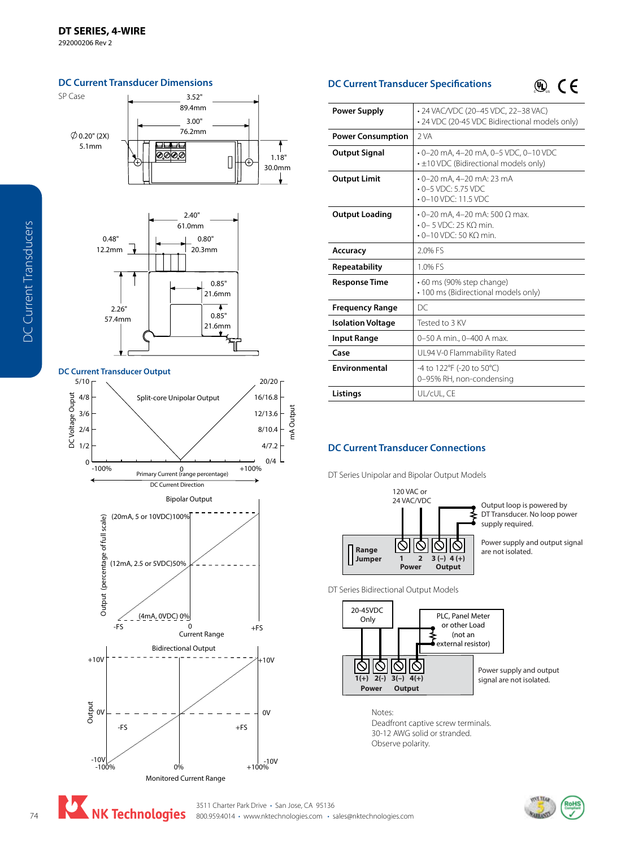292000206 Rev 2







**DC Current Transducer Specifications** 

 $\circledast$  CE

| <b>Power Supply</b>      | • 24 VAC/VDC (20-45 VDC, 22-38 VAC)<br>· 24 VDC (20-45 VDC Bidirectional models only)                 |
|--------------------------|-------------------------------------------------------------------------------------------------------|
| <b>Power Consumption</b> | 2 VA                                                                                                  |
| <b>Output Signal</b>     | $-0-20$ mA, 4-20 mA, 0-5 VDC, 0-10 VDC<br>$\cdot$ ±10 VDC (Bidirectional models only)                 |
| <b>Output Limit</b>      | $\cdot$ 0-20 mA, 4-20 mA; 23 mA<br>$-0-5$ VDC: 5.75 VDC<br>$\cdot$ 0-10 VDC: 11.5 VDC                 |
| <b>Output Loading</b>    | $\cdot$ 0-20 mA, 4-20 mA: 500 Ω max.<br>$\cdot$ 0 – 5 VDC: 25 KO min.<br>$\cdot$ 0-10 VDC: 50 KQ min. |
| Accuracy                 | 2.0% FS                                                                                               |
| Repeatability            | 1.0% FS                                                                                               |
| <b>Response Time</b>     | •60 ms (90% step change)<br>· 100 ms (Bidirectional models only)                                      |
| <b>Frequency Range</b>   | DC                                                                                                    |
| <b>Isolation Voltage</b> | Tested to 3 KV                                                                                        |
| <b>Input Range</b>       | 0-50 A min., 0-400 A max.                                                                             |
| Case                     | UL94 V-0 Flammability Rated                                                                           |
| Environmental            | -4 to 122°F (-20 to 50°C)<br>0-95% RH, non-condensing                                                 |
| Listings                 | UL/cUL. CE                                                                                            |

## **DC Current Transducer Connections**

DT Series Unipolar and Bipolar Output Models



Output loop is powered by DT Transducer. No loop power supply required.

Power supply and output signal are not isolated.

DT Series Bidirectional Output Models



Notes: Deadfront captive screw terminals. 30-12 AWG solid or stranded. Observe polarity.



mA Output

mA Output

1.18" 30.0mm

 $\ddagger$ 

NK Technologies